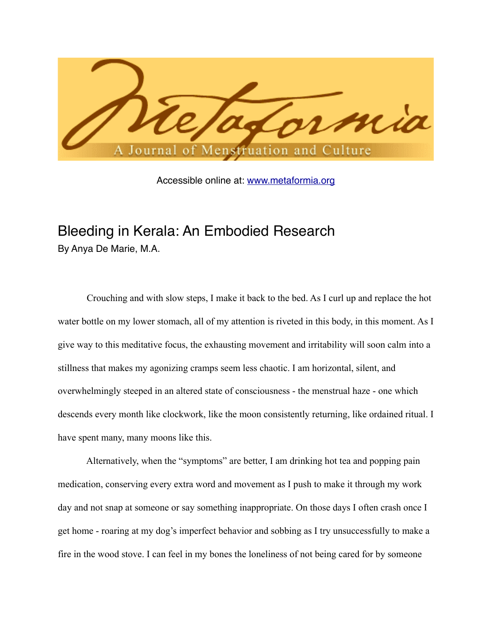

Accessible online at: [www.metaformia.org](http://www.metaformia.org)

## Bleeding in Kerala: An Embodied Research By Anya De Marie, M.A.

 Crouching and with slow steps, I make it back to the bed. As I curl up and replace the hot water bottle on my lower stomach, all of my attention is riveted in this body, in this moment. As I give way to this meditative focus, the exhausting movement and irritability will soon calm into a stillness that makes my agonizing cramps seem less chaotic. I am horizontal, silent, and overwhelmingly steeped in an altered state of consciousness - the menstrual haze - one which descends every month like clockwork, like the moon consistently returning, like ordained ritual. I have spent many, many moons like this.

 Alternatively, when the "symptoms" are better, I am drinking hot tea and popping pain medication, conserving every extra word and movement as I push to make it through my work day and not snap at someone or say something inappropriate. On those days I often crash once I get home - roaring at my dog's imperfect behavior and sobbing as I try unsuccessfully to make a fire in the wood stove. I can feel in my bones the loneliness of not being cared for by someone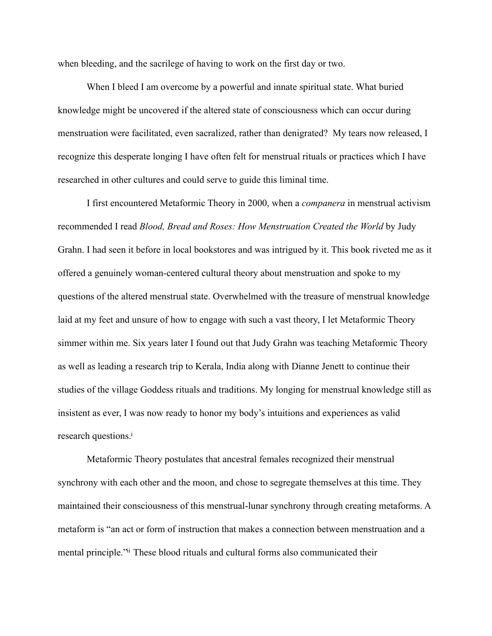when bleeding, and the sacrilege of having to work on the first day or two.

 When I bleed I am overcome by a powerful and innate spiritual state. What buried knowledge might be uncovered if the altered state of consciousness which can occur during menstruation were facilitated, even sacralized, rather than denigrated? My tears now released, I recognize this desperate longing I have often felt for menstrual rituals or practices which I have researched in other cultures and could serve to guide this liminal time.

 I first encountered Metaformic Theory in 2000, when a *companera* in menstrual activism recommended I read *Blood, Bread and Roses: How Menstruation Created the World* by Judy Grahn. I had seen it before in local bookstores and was intrigued by it. This book riveted me as it offered a genuinely woman-centered cultural theory about menstruation and spoke to my questions of the altered menstrual state. Overwhelmed with the treasure of menstrual knowledge laid at my feet and unsure of how to engage with such a vast theory, I let Metaformic Theory simmer within me. Six years later I found out that Judy Grahn was teaching Metaformic Theory as well as leading a research trip to Kerala, India along with Dianne Jenett to continue their studies of the village Goddess rituals and traditions. My longing for menstrual knowledge still as insistent as ever, I was now ready to honor my body's intuitions and experiences as valid research questions.<sup>i</sup>

 Metaformic Theory postulates that ancestral females recognized their menstrual synchrony with each other and the moon, and chose to segregate themselves at this time. They maintained their consciousness of this menstrual-lunar synchrony through creating metaforms. A metaform is "an act or form of instruction that makes a connection between menstruation and a mental principle.["ii](#page-14-1) These blood rituals and cultural forms also communicated their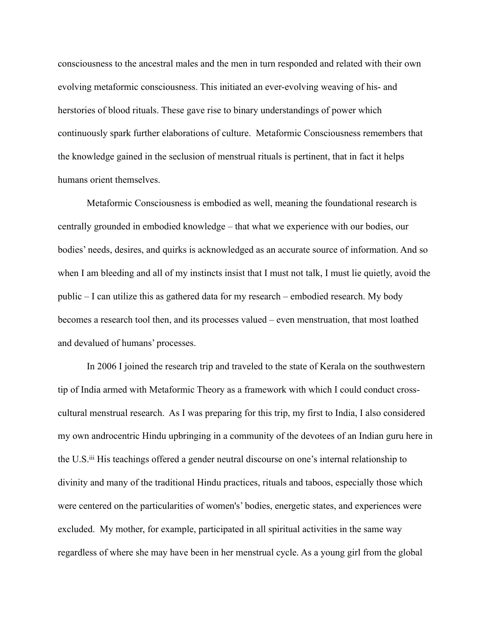consciousness to the ancestral males and the men in turn responded and related with their own evolving metaformic consciousness. This initiated an ever-evolving weaving of his- and herstories of blood rituals. These gave rise to binary understandings of power which continuously spark further elaborations of culture. Metaformic Consciousness remembers that the knowledge gained in the seclusion of menstrual rituals is pertinent, that in fact it helps humans orient themselves.

 Metaformic Consciousness is embodied as well, meaning the foundational research is centrally grounded in embodied knowledge – that what we experience with our bodies, our bodies' needs, desires, and quirks is acknowledged as an accurate source of information. And so when I am bleeding and all of my instincts insist that I must not talk, I must lie quietly, avoid the public – I can utilize this as gathered data for my research – embodied research. My body becomes a research tool then, and its processes valued – even menstruation, that most loathed and devalued of humans' processes.

In 2006 I joined the research trip and traveled to the state of Kerala on the southwestern tip of India armed with Metaformic Theory as a framework with which I could conduct crosscultural menstrual research. As I was preparing for this trip, my first to India, I also considered my own androcentric Hindu upbringing in a community of the devotees of an Indian guru here in the U.S.[iii](#page-14-2) His teachings offered a gender neutral discourse on one's internal relationship to divinity and many of the traditional Hindu practices, rituals and taboos, especially those which were centered on the particularities of women's' bodies, energetic states, and experiences were excluded. My mother, for example, participated in all spiritual activities in the same way regardless of where she may have been in her menstrual cycle. As a young girl from the global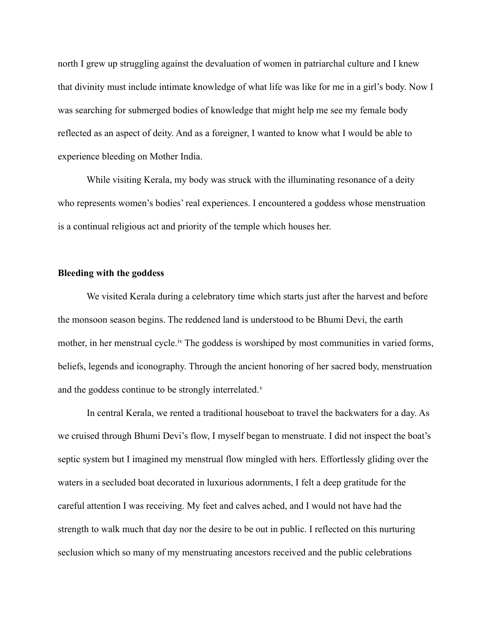north I grew up struggling against the devaluation of women in patriarchal culture and I knew that divinity must include intimate knowledge of what life was like for me in a girl's body. Now I was searching for submerged bodies of knowledge that might help me see my female body reflected as an aspect of deity. And as a foreigner, I wanted to know what I would be able to experience bleeding on Mother India.

 While visiting Kerala, my body was struck with the illuminating resonance of a deity who represents women's bodies' real experiences. I encountered a goddess whose menstruation is a continual religious act and priority of the temple which houses her.

## **Bleeding with the goddess**

 We visited Kerala during a celebratory time which starts just after the harvest and before the monsoon season begins. The reddened land is understood to be Bhumi Devi, the earth mother, in her menstrual cycle.<sup>[iv](#page-14-3)</sup> The goddess is worshiped by most communities in varied forms, beliefs, legends and iconography. Through the ancient honoring of her sacred body, menstruation and the goddess continue to be strongly interrelated. $v$ 

 In central Kerala, we rented a traditional houseboat to travel the backwaters for a day. As we cruised through Bhumi Devi's flow, I myself began to menstruate. I did not inspect the boat's septic system but I imagined my menstrual flow mingled with hers. Effortlessly gliding over the waters in a secluded boat decorated in luxurious adornments, I felt a deep gratitude for the careful attention I was receiving. My feet and calves ached, and I would not have had the strength to walk much that day nor the desire to be out in public. I reflected on this nurturing seclusion which so many of my menstruating ancestors received and the public celebrations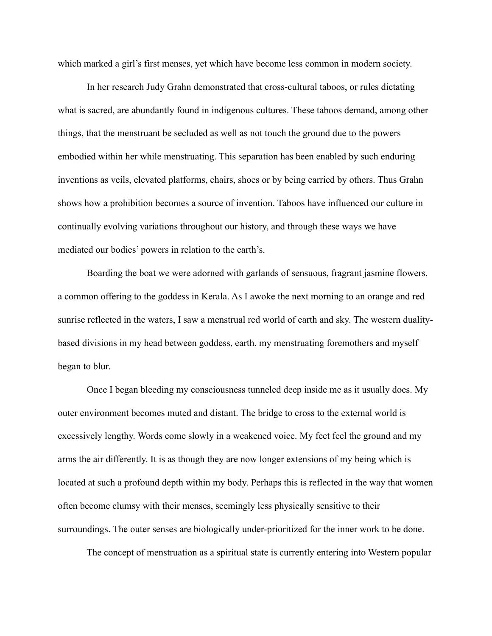which marked a girl's first menses, yet which have become less common in modern society.

 In her research Judy Grahn demonstrated that cross-cultural taboos, or rules dictating what is sacred, are abundantly found in indigenous cultures. These taboos demand, among other things, that the menstruant be secluded as well as not touch the ground due to the powers embodied within her while menstruating. This separation has been enabled by such enduring inventions as veils, elevated platforms, chairs, shoes or by being carried by others. Thus Grahn shows how a prohibition becomes a source of invention. Taboos have influenced our culture in continually evolving variations throughout our history, and through these ways we have mediated our bodies' powers in relation to the earth's.

 Boarding the boat we were adorned with garlands of sensuous, fragrant jasmine flowers, a common offering to the goddess in Kerala. As I awoke the next morning to an orange and red sunrise reflected in the waters, I saw a menstrual red world of earth and sky. The western dualitybased divisions in my head between goddess, earth, my menstruating foremothers and myself began to blur.

 Once I began bleeding my consciousness tunneled deep inside me as it usually does. My outer environment becomes muted and distant. The bridge to cross to the external world is excessively lengthy. Words come slowly in a weakened voice. My feet feel the ground and my arms the air differently. It is as though they are now longer extensions of my being which is located at such a profound depth within my body. Perhaps this is reflected in the way that women often become clumsy with their menses, seemingly less physically sensitive to their surroundings. The outer senses are biologically under-prioritized for the inner work to be done.

The concept of menstruation as a spiritual state is currently entering into Western popular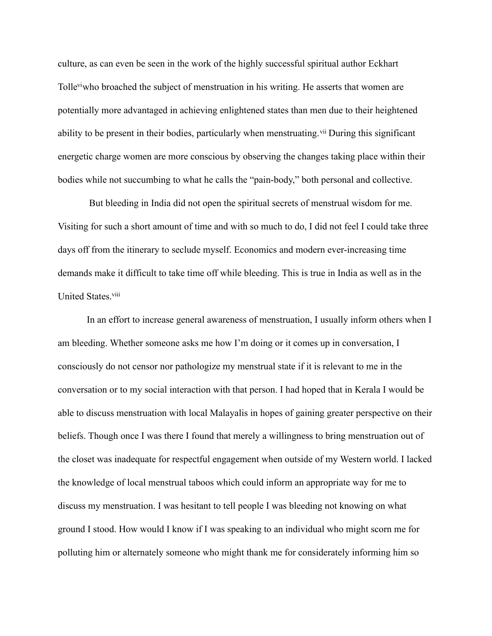culture, as can even be seen in the work of the highly successful spiritual author Eckhart Toll[eviw](#page-14-5)ho broached the subject of menstruation in his writing. He asserts that women are potentially more advantaged in achieving enlightened states than men due to their heightened ability to be present in their bodies, particularly when menstruating. V<sup>ii</sup> During this significant energetic charge women are more conscious by observing the changes taking place within their bodies while not succumbing to what he calls the "pain-body," both personal and collective.

 But bleeding in India did not open the spiritual secrets of menstrual wisdom for me. Visiting for such a short amount of time and with so much to do, I did not feel I could take three days off from the itinerary to seclude myself. Economics and modern ever-increasing time demands make it difficult to take time off while bleeding. This is true in India as well as in the United States.<sup>viii</sup>

 In an effort to increase general awareness of menstruation, I usually inform others when I am bleeding. Whether someone asks me how I'm doing or it comes up in conversation, I consciously do not censor nor pathologize my menstrual state if it is relevant to me in the conversation or to my social interaction with that person. I had hoped that in Kerala I would be able to discuss menstruation with local Malayalis in hopes of gaining greater perspective on their beliefs. Though once I was there I found that merely a willingness to bring menstruation out of the closet was inadequate for respectful engagement when outside of my Western world. I lacked the knowledge of local menstrual taboos which could inform an appropriate way for me to discuss my menstruation. I was hesitant to tell people I was bleeding not knowing on what ground I stood. How would I know if I was speaking to an individual who might scorn me for polluting him or alternately someone who might thank me for considerately informing him so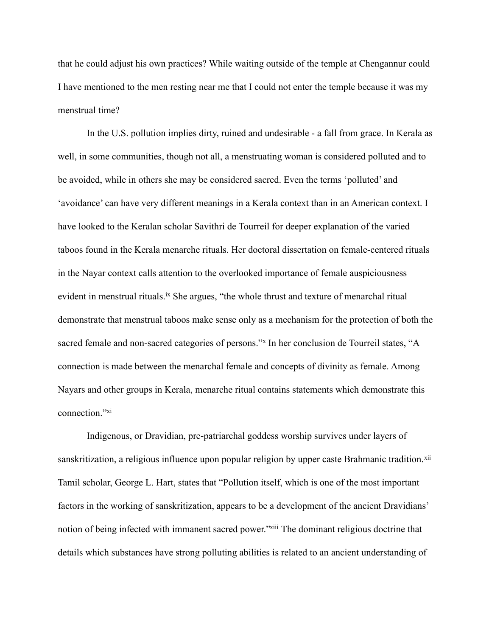that he could adjust his own practices? While waiting outside of the temple at Chengannur could I have mentioned to the men resting near me that I could not enter the temple because it was my menstrual time?

 In the U.S. pollution implies dirty, ruined and undesirable - a fall from grace. In Kerala as well, in some communities, though not all, a menstruating woman is considered polluted and to be avoided, while in others she may be considered sacred. Even the terms 'polluted' and 'avoidance' can have very different meanings in a Kerala context than in an American context. I have looked to the Keralan scholar Savithri de Tourreil for deeper explanation of the varied taboos found in the Kerala menarche rituals. Her doctoral dissertation on female-centered rituals in the Nayar context calls attention to the overlooked importance of female auspiciousness evident in menstrual rituals.<sup>[ix](#page-14-8)</sup> She argues, "the whole thrust and texture of menarchal ritual demonstrate that menstrual taboos make sense only as a mechanism for the protection of both the sacred female and non-sacred categories of persons."<sup>x</sup> In her conclusion de Tourreil states, "A connection is made between the menarchal female and concepts of divinity as female. Among Nayars and other groups in Kerala, menarche ritual contains statements which demonstrate this connection."[xi](#page-14-10)

 Indigenous, or Dravidian, pre-patriarchal goddess worship survives under layers of sanskritization, a religious influence upon popular religion by upper caste Brahmanic tradition.<sup>[xii](#page-14-11)</sup> Tamil scholar, George L. Hart, states that "Pollution itself, which is one of the most important factors in the working of sanskritization, appears to be a development of the ancient Dravidians' notion of being infected with immanent sacred power.["xiii](#page-14-12) The dominant religious doctrine that details which substances have strong polluting abilities is related to an ancient understanding of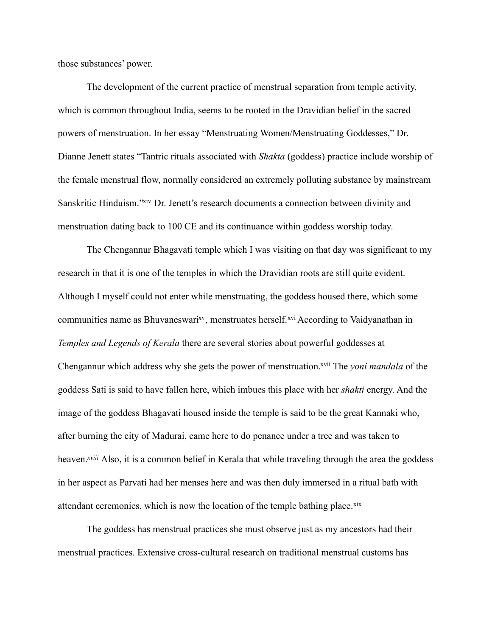those substances' power.

 The development of the current practice of menstrual separation from temple activity, which is common throughout India, seems to be rooted in the Dravidian belief in the sacred powers of menstruation. In her essay "Menstruating Women/Menstruating Goddesses," Dr. Dianne Jenett states "Tantric rituals associated with *Shakta* (goddess) practice include worship of the female menstrual flow, normally considered an extremely polluting substance by mainstream Sanskritic Hinduism.["xiv](#page-14-13) Dr. Jenett's research documents a connection between divinity and menstruation dating back to 100 CE and its continuance within goddess worship today.

 The Chengannur Bhagavati temple which I was visiting on that day was significant to my research in that it is one of the temples in which the Dravidian roots are still quite evident. Although I myself could not enter while menstruating, the goddess housed there, which some communities name as Bhuvaneswari<sup>xv</sup>, menstruates herself.<sup>xvi</sup> According to Vaidyanathan in *Temples and Legends of Kerala* there are several stories about powerful goddesses at Chengannur which address why she gets the power of menstruation[.xvii](#page-14-16) The *yoni mandala* of the goddess Sati is said to have fallen here, which imbues this place with her *shakti* energy. And the image of the goddess Bhagavati housed inside the temple is said to be the great Kannaki who, after burning the city of Madurai, came here to do penance under a tree and was taken to heaven.*[xviii](#page-14-17)* Also, it is a common belief in Kerala that while traveling through the area the goddess in her aspect as Parvati had her menses here and was then duly immersed in a ritual bath with attendant ceremonies, which is now the location of the temple bathing place. $x$ ix

 The goddess has menstrual practices she must observe just as my ancestors had their menstrual practices. Extensive cross-cultural research on traditional menstrual customs has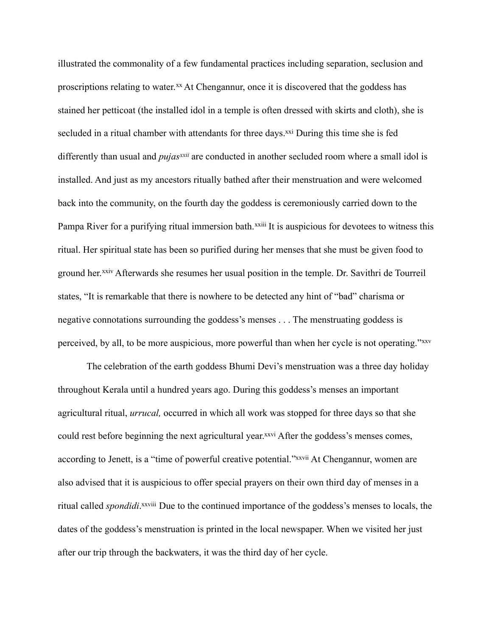illustrated the commonality of a few fundamental practices including separation, seclusion and proscriptions relating to water.<sup>xx</sup> At Chengannur, once it is discovered that the goddess has stained her petticoat (the installed idol in a temple is often dressed with skirts and cloth), she is secluded in a ritual chamber with attendants for three days.<sup>xxi</sup> During this time she is fed differently than usual and *pujas[xxii](#page-14-21)* are conducted in another secluded room where a small idol is installed. And just as my ancestors ritually bathed after their menstruation and were welcomed back into the community, on the fourth day the goddess is ceremoniously carried down to the Pampa River for a purifying ritual immersion bath.<sup>[xxiii](#page-15-0)</sup> It is auspicious for devotees to witness this ritual. Her spiritual state has been so purified during her menses that she must be given food to ground her.[xxiv](#page-15-1) Afterwards she resumes her usual position in the temple. Dr. Savithri de Tourreil states, "It is remarkable that there is nowhere to be detected any hint of "bad" charisma or negative connotations surrounding the goddess's menses . . . The menstruating goddess is perceived, by all, to be more auspicious, more powerful than when her cycle is not operating."[xxv](#page-15-2)

 The celebration of the earth goddess Bhumi Devi's menstruation was a three day holiday throughout Kerala until a hundred years ago. During this goddess's menses an important agricultural ritual, *urrucal,* occurred in which all work was stopped for three days so that she could rest before beginning the next agricultural year.<sup>xxvi</sup> After the goddess's menses comes, according to Jenett, is a "time of powerful creative potential.["xxvii](#page-15-4) At Chengannur, women are also advised that it is auspicious to offer special prayers on their own third day of menses in a ritual called *spondidi*. [xxviii](#page-15-5) Due to the continued importance of the goddess's menses to locals, the dates of the goddess's menstruation is printed in the local newspaper. When we visited her just after our trip through the backwaters, it was the third day of her cycle.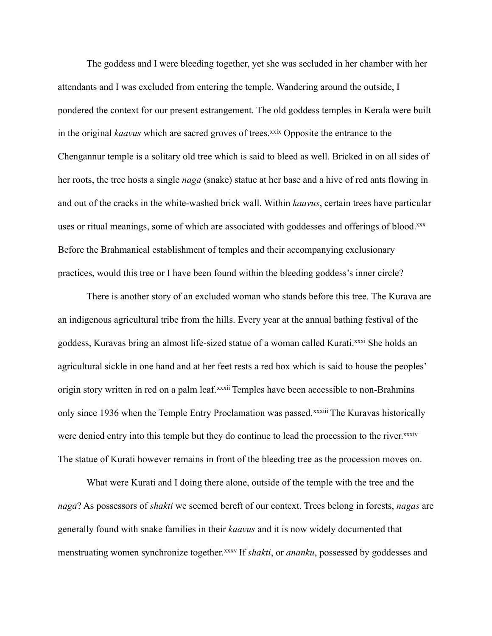The goddess and I were bleeding together, yet she was secluded in her chamber with her attendants and I was excluded from entering the temple. Wandering around the outside, I pondered the context for our present estrangement. The old goddess temples in Kerala were built in the original *kaavus* which are sacred groves of trees.<sup>[xxix](#page-15-6)</sup> Opposite the entrance to the Chengannur temple is a solitary old tree which is said to bleed as well. Bricked in on all sides of her roots, the tree hosts a single *naga* (snake) statue at her base and a hive of red ants flowing in and out of the cracks in the white-washed brick wall. Within *kaavus*, certain trees have particular uses or ritual meanings, some of which are associated with goddesses and offerings of blood[.xxx](#page-15-7) Before the Brahmanical establishment of temples and their accompanying exclusionary practices, would this tree or I have been found within the bleeding goddess's inner circle?

 There is another story of an excluded woman who stands before this tree. The Kurava are an indigenous agricultural tribe from the hills. Every year at the annual bathing festival of the goddess, Kuravas bring an almost life-sized statue of a woman called Kurati.[xxxi](#page-15-8) She holds an agricultural sickle in one hand and at her feet rests a red box which is said to house the peoples' origin story written in red on a palm leaf.<sup>[xxxii](#page-15-9)</sup> Temples have been accessible to non-Brahmins only since 1936 when the Temple Entry Proclamation was passed.<sup>[xxxiii](#page-15-10)</sup> The Kuravas historically were denied entry into this temple but they do continue to lead the procession to the river.<sup>xxxiv</sup> The statue of Kurati however remains in front of the bleeding tree as the procession moves on.

 What were Kurati and I doing there alone, outside of the temple with the tree and the *naga*? As possessors of *shakti* we seemed bereft of our context. Trees belong in forests, *nagas* are generally found with snake families in their *kaavus* and it is now widely documented that menstruating women synchronize together.[xxxv](#page-15-12) If *shakti*, or *ananku*, possessed by goddesses and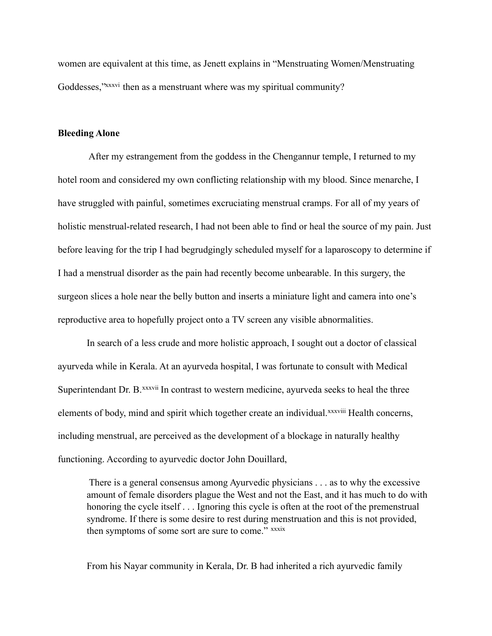women are equivalent at this time, as Jenett explains in "Menstruating Women/Menstruating Goddesses, "*xxxvi* then as a menstruant where was my spiritual community?

## **Bleeding Alone**

 After my estrangement from the goddess in the Chengannur temple, I returned to my hotel room and considered my own conflicting relationship with my blood. Since menarche, I have struggled with painful, sometimes excruciating menstrual cramps. For all of my years of holistic menstrual-related research, I had not been able to find or heal the source of my pain. Just before leaving for the trip I had begrudgingly scheduled myself for a laparoscopy to determine if I had a menstrual disorder as the pain had recently become unbearable. In this surgery, the surgeon slices a hole near the belly button and inserts a miniature light and camera into one's reproductive area to hopefully project onto a TV screen any visible abnormalities.

 In search of a less crude and more holistic approach, I sought out a doctor of classical ayurveda while in Kerala. At an ayurveda hospital, I was fortunate to consult with Medical Superintendant Dr. B.<sup>[xxxvii](#page-15-14)</sup> In contrast to western medicine, ayurveda seeks to heal the three elements of body, mind and spirit which together create an individual.[xxxviii](#page-15-15) Health concerns, including menstrual, are perceived as the development of a blockage in naturally healthy functioning. According to ayurvedic doctor John Douillard,

 There is a general consensus among Ayurvedic physicians . . . as to why the excessive amount of female disorders plague the West and not the East, and it has much to do with honoring the cycle itself . . . Ignoring this cycle is often at the root of the premenstrual syndrome. If there is some desire to rest during menstruation and this is not provided, then symptoms of some sort are sure to come." [xxxix](#page-15-16)

From his Nayar community in Kerala, Dr. B had inherited a rich ayurvedic family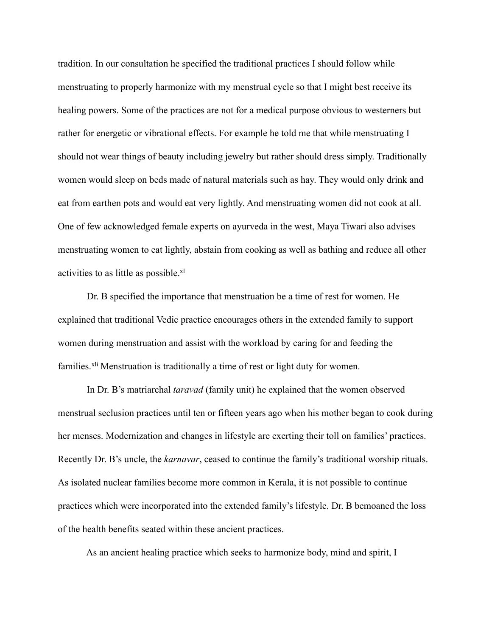tradition. In our consultation he specified the traditional practices I should follow while menstruating to properly harmonize with my menstrual cycle so that I might best receive its healing powers. Some of the practices are not for a medical purpose obvious to westerners but rather for energetic or vibrational effects. For example he told me that while menstruating I should not wear things of beauty including jewelry but rather should dress simply. Traditionally women would sleep on beds made of natural materials such as hay. They would only drink and eat from earthen pots and would eat very lightly. And menstruating women did not cook at all. One of few acknowledged female experts on ayurveda in the west, Maya Tiwari also advises menstruating women to eat lightly, abstain from cooking as well as bathing and reduce all other activities to as little as possible.[xl](#page-15-17)

 Dr. B specified the importance that menstruation be a time of rest for women. He explained that traditional Vedic practice encourages others in the extended family to support women during menstruation and assist with the workload by caring for and feeding the families.<sup>[xli](#page-15-18)</sup> Menstruation is traditionally a time of rest or light duty for women.

 In Dr. B's matriarchal *taravad* (family unit) he explained that the women observed menstrual seclusion practices until ten or fifteen years ago when his mother began to cook during her menses. Modernization and changes in lifestyle are exerting their toll on families' practices. Recently Dr. B's uncle, the *karnavar*, ceased to continue the family's traditional worship rituals. As isolated nuclear families become more common in Kerala, it is not possible to continue practices which were incorporated into the extended family's lifestyle. Dr. B bemoaned the loss of the health benefits seated within these ancient practices.

As an ancient healing practice which seeks to harmonize body, mind and spirit, I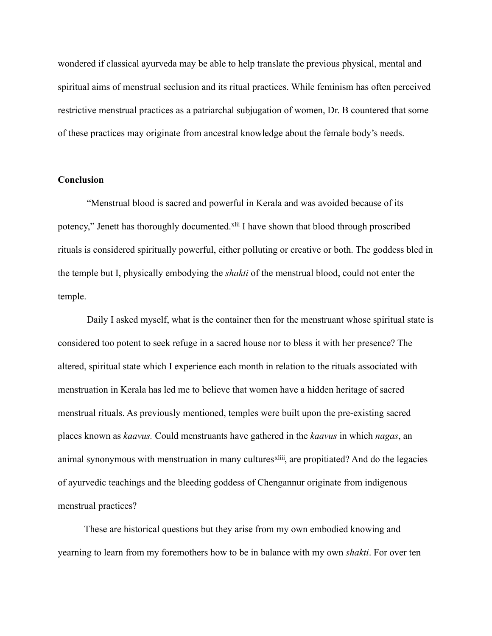wondered if classical ayurveda may be able to help translate the previous physical, mental and spiritual aims of menstrual seclusion and its ritual practices. While feminism has often perceived restrictive menstrual practices as a patriarchal subjugation of women, Dr. B countered that some of these practices may originate from ancestral knowledge about the female body's needs.

## **Conclusion**

 "Menstrual blood is sacred and powerful in Kerala and was avoided because of its potency," Jenett has thoroughly documented.<sup>[xlii](#page-15-19)</sup> I have shown that blood through proscribed rituals is considered spiritually powerful, either polluting or creative or both. The goddess bled in the temple but I, physically embodying the *shakti* of the menstrual blood, could not enter the temple.

 Daily I asked myself, what is the container then for the menstruant whose spiritual state is considered too potent to seek refuge in a sacred house nor to bless it with her presence? The altered, spiritual state which I experience each month in relation to the rituals associated with menstruation in Kerala has led me to believe that women have a hidden heritage of sacred menstrual rituals. As previously mentioned, temples were built upon the pre-existing sacred places known as *kaavus.* Could menstruants have gathered in the *kaavus* in which *nagas*, an animal synonymous with menstruation in many cultures<sup>[xliii](#page-16-0)</sup>, are propitiated? And do the legacies of ayurvedic teachings and the bleeding goddess of Chengannur originate from indigenous menstrual practices?

 These are historical questions but they arise from my own embodied knowing and yearning to learn from my foremothers how to be in balance with my own *shakti*. For over ten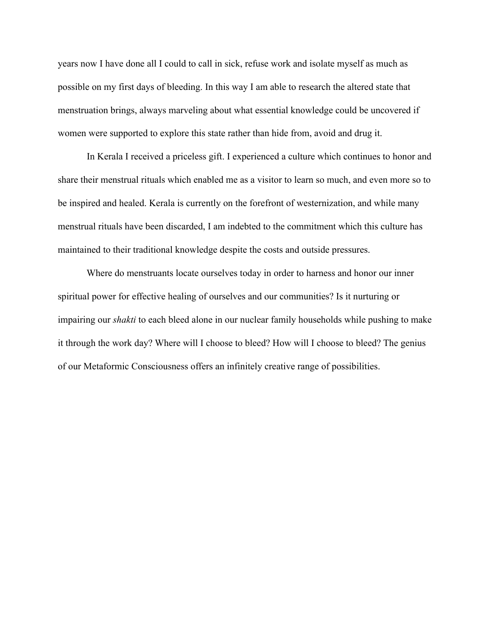years now I have done all I could to call in sick, refuse work and isolate myself as much as possible on my first days of bleeding. In this way I am able to research the altered state that menstruation brings, always marveling about what essential knowledge could be uncovered if women were supported to explore this state rather than hide from, avoid and drug it.

 In Kerala I received a priceless gift. I experienced a culture which continues to honor and share their menstrual rituals which enabled me as a visitor to learn so much, and even more so to be inspired and healed. Kerala is currently on the forefront of westernization, and while many menstrual rituals have been discarded, I am indebted to the commitment which this culture has maintained to their traditional knowledge despite the costs and outside pressures.

 Where do menstruants locate ourselves today in order to harness and honor our inner spiritual power for effective healing of ourselves and our communities? Is it nurturing or impairing our *shakti* to each bleed alone in our nuclear family households while pushing to make it through the work day? Where will I choose to bleed? How will I choose to bleed? The genius of our Metaformic Consciousness offers an infinitely creative range of possibilities.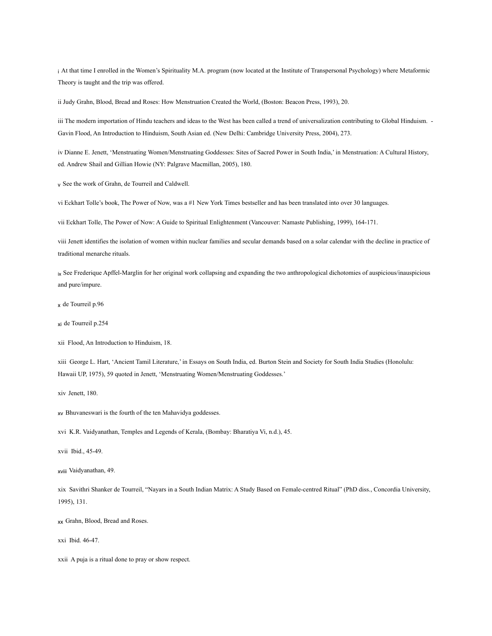<span id="page-14-0"></span>i At that time I enrolled in the Women's Spirituality M.A. program (now located at the Institute of Transpersonal Psychology) where Metaformic Theory is taught and the trip was offered.

<span id="page-14-1"></span>ii Judy Grahn, Blood, Bread and Roses: How Menstruation Created the World, (Boston: Beacon Press, 1993), 20.

<span id="page-14-2"></span>iii The modern importation of Hindu teachers and ideas to the West has been called a trend of universalization contributing to Global Hinduism. -Gavin Flood, An Introduction to Hinduism, South Asian ed. (New Delhi: Cambridge University Press, 2004), 273.

<span id="page-14-3"></span>iv Dianne E. Jenett, 'Menstruating Women/Menstruating Goddesses: Sites of Sacred Power in South India,' in Menstruation: A Cultural History, ed. Andrew Shail and Gillian Howie (NY: Palgrave Macmillan, 2005), 180.

<span id="page-14-4"></span>v See the work of Grahn, de Tourreil and Caldwell.

<span id="page-14-5"></span>vi Eckhart Tolle's book, The Power of Now, was a #1 New York Times bestseller and has been translated into over 30 languages.

<span id="page-14-6"></span>vii Eckhart Tolle, The Power of Now: A Guide to Spiritual Enlightenment (Vancouver: Namaste Publishing, 1999), 164-171.

<span id="page-14-7"></span>viii Jenett identifies the isolation of women within nuclear families and secular demands based on a solar calendar with the decline in practice of traditional menarche rituals.

<span id="page-14-8"></span>ix See Frederique Apffel-Marglin for her original work collapsing and expanding the two anthropological dichotomies of auspicious/inauspicious and pure/impure.

<span id="page-14-9"></span>x de Tourreil p.96

<span id="page-14-10"></span>xi de Tourreil p.254

<span id="page-14-11"></span>xii Flood, An Introduction to Hinduism, 18.

<span id="page-14-12"></span>xiii George L. Hart, 'Ancient Tamil Literature,' in Essays on South India, ed. Burton Stein and Society for South India Studies (Honolulu: Hawaii UP, 1975), 59 quoted in Jenett, 'Menstruating Women/Menstruating Goddesses.'

<span id="page-14-13"></span>xiv Jenett, 180.

<span id="page-14-14"></span>xv Bhuvaneswari is the fourth of the ten Mahavidya goddesses.

<span id="page-14-15"></span>xvi K.R. Vaidyanathan, Temples and Legends of Kerala, (Bombay: Bharatiya Vi, n.d.), 45.

<span id="page-14-16"></span>xvii Ibid., 45-49.

<span id="page-14-17"></span>xviii Vaidyanathan, 49.

<span id="page-14-18"></span>xix Savithri Shanker de Tourreil, "Nayars in a South Indian Matrix: A Study Based on Female-centred Ritual" (PhD diss., Concordia University, 1995), 131.

<span id="page-14-19"></span>xx Grahn, Blood, Bread and Roses.

<span id="page-14-20"></span>xxi Ibid. 46-47.

<span id="page-14-21"></span>xxii A puja is a ritual done to pray or show respect.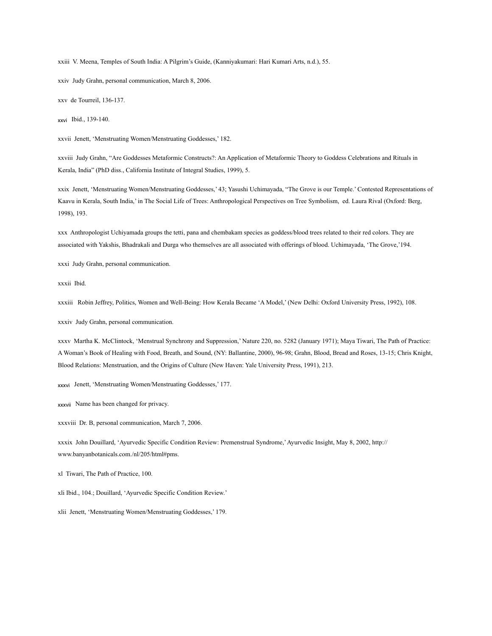<span id="page-15-0"></span>xxiii V. Meena, Temples of South India: A Pilgrim's Guide, (Kanniyakumari: Hari Kumari Arts, n.d.), 55.

<span id="page-15-1"></span>xxiv Judy Grahn, personal communication, March 8, 2006.

<span id="page-15-2"></span>xxv de Tourreil, 136-137.

<span id="page-15-3"></span>xxvi Ibid., 139-140.

<span id="page-15-4"></span>xxvii Jenett, 'Menstruating Women/Menstruating Goddesses,' 182.

<span id="page-15-5"></span>xxviii Judy Grahn, "Are Goddesses Metaformic Constructs?: An Application of Metaformic Theory to Goddess Celebrations and Rituals in Kerala, India" (PhD diss., California Institute of Integral Studies, 1999), 5.

<span id="page-15-6"></span>xxix Jenett, 'Menstruating Women/Menstruating Goddesses,' 43; Yasushi Uchimayada, "The Grove is our Temple.' Contested Representations of Kaavu in Kerala, South India,' in The Social Life of Trees: Anthropological Perspectives on Tree Symbolism, ed. Laura Rival (Oxford: Berg, 1998), 193.

<span id="page-15-7"></span>xxx Anthropologist Uchiyamada groups the tetti, pana and chembakam species as goddess/blood trees related to their red colors. They are associated with Yakshis, Bhadrakali and Durga who themselves are all associated with offerings of blood. Uchimayada, 'The Grove,'194.

<span id="page-15-8"></span>xxxi Judy Grahn, personal communication.

<span id="page-15-9"></span>xxxii Ibid.

<span id="page-15-10"></span>xxxiii Robin Jeffrey, Politics, Women and Well-Being: How Kerala Became 'A Model,' (New Delhi: Oxford University Press, 1992), 108.

<span id="page-15-11"></span>xxxiv Judy Grahn, personal communication.

<span id="page-15-12"></span>xxxv Martha K. McClintock, 'Menstrual Synchrony and Suppression,' Nature 220, no. 5282 (January 1971); Maya Tiwari, The Path of Practice: A Woman's Book of Healing with Food, Breath, and Sound, (NY: Ballantine, 2000), 96-98; Grahn, Blood, Bread and Roses, 13-15; Chris Knight, Blood Relations: Menstruation, and the Origins of Culture (New Haven: Yale University Press, 1991), 213.

<span id="page-15-13"></span>xxxvi Jenett, 'Menstruating Women/Menstruating Goddesses,' 177.

<span id="page-15-14"></span>xxxvii Name has been changed for privacy.

<span id="page-15-15"></span>xxxviii Dr. B, personal communication, March 7, 2006.

<span id="page-15-16"></span>xxxix John Douillard, 'Ayurvedic Specific Condition Review: Premenstrual Syndrome,' Ayurvedic Insight, May 8, 2002, http:// www.banyanbotanicals.com./nl/205/html#pms.

<span id="page-15-17"></span>xl Tiwari, The Path of Practice, 100.

<span id="page-15-18"></span>xli Ibid., 104.; Douillard, 'Ayurvedic Specific Condition Review.'

<span id="page-15-19"></span>xlii Jenett, 'Menstruating Women/Menstruating Goddesses,' 179.